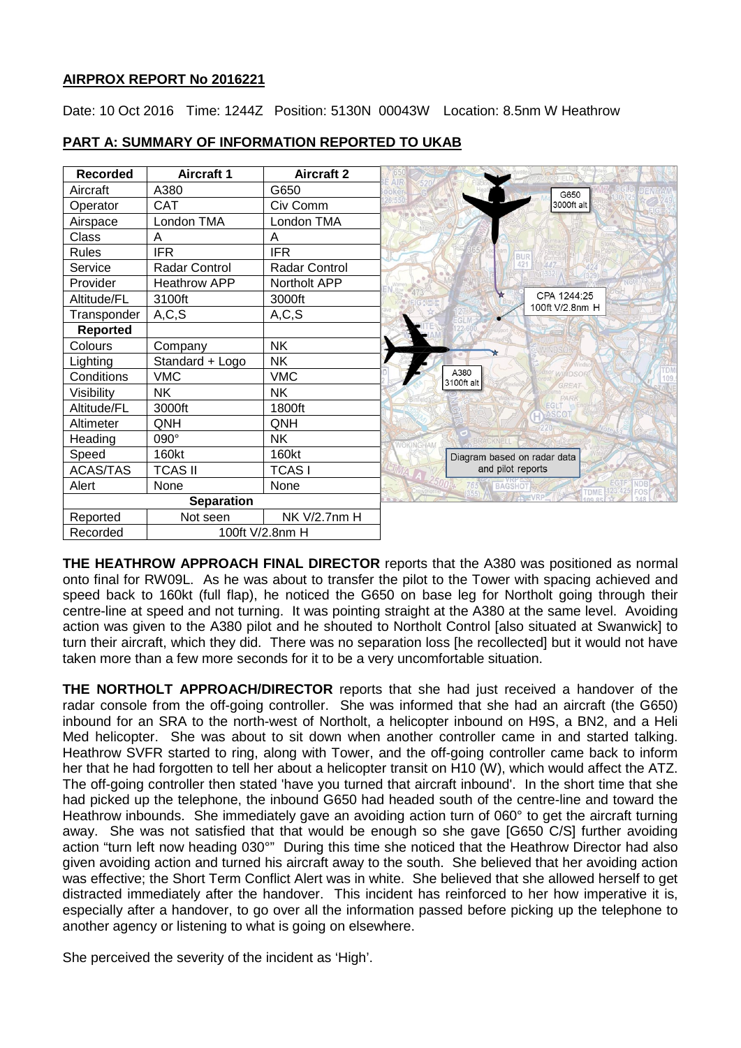# **AIRPROX REPORT No 2016221**

Date: 10 Oct 2016 Time: 1244Z Position: 5130N 00043W Location: 8.5nm W Heathrow

| <b>Recorded</b>   | <b>Aircraft 1</b>    | <b>Aircraft 2</b>   |                                                   |
|-------------------|----------------------|---------------------|---------------------------------------------------|
| Aircraft          | A380                 | G650                | G650                                              |
| Operator          | <b>CAT</b>           | Civ Comm            | 3000ft alt                                        |
| Airspace          | London TMA           | London TMA          |                                                   |
| Class             | A                    | A                   |                                                   |
| <b>Rules</b>      | <b>IFR</b>           | <b>IFR</b>          | <b>BUR</b>                                        |
| Service           | <b>Radar Control</b> | Radar Control       | 421                                               |
| Provider          | <b>Heathrow APP</b>  | Northolt APP        |                                                   |
| Altitude/FL       | 3100ft               | 3000ft              | CPA 1244:25                                       |
| Transponder       | A, C, S              | A, C, S             | 100ft V/2.8nm H                                   |
| <b>Reported</b>   |                      |                     |                                                   |
| Colours           | Company              | <b>NK</b>           |                                                   |
| Lighting          | Standard + Logo      | <b>NK</b>           |                                                   |
| Conditions        | <b>VMC</b>           | <b>VMC</b>          | A380<br><b>MINDSOI</b><br>3100ft alt              |
| Visibility        | NΚ                   | <b>NK</b>           | <b>GREAT</b><br>PARK                              |
| Altitude/FL       | 3000ft               | 1800ft              | EG <sub>I</sub> <sup>1</sup><br>ASCO <sub>1</sub> |
| Altimeter         | QNH                  | QNH                 |                                                   |
| Heading           | 090°                 | <b>NK</b>           |                                                   |
| Speed             | 160kt                | 160kt               | Diagram based on radar data                       |
| <b>ACAS/TAS</b>   | <b>TCAS II</b>       | TCAS I              | and pilot reports                                 |
| Alert             | None                 | None                | 765 A BAGSHOT<br><b>TDME</b><br>FOS               |
| <b>Separation</b> |                      |                     | <b>WAS IVRP</b>                                   |
| Reported          | Not seen             | <b>NK V/2.7nm H</b> |                                                   |
| Recorded          | 100ft V/2.8nm H      |                     |                                                   |

# **PART A: SUMMARY OF INFORMATION REPORTED TO UKAB**

**THE HEATHROW APPROACH FINAL DIRECTOR** reports that the A380 was positioned as normal onto final for RW09L. As he was about to transfer the pilot to the Tower with spacing achieved and speed back to 160kt (full flap), he noticed the G650 on base leg for Northolt going through their centre-line at speed and not turning. It was pointing straight at the A380 at the same level. Avoiding action was given to the A380 pilot and he shouted to Northolt Control [also situated at Swanwick] to turn their aircraft, which they did. There was no separation loss [he recollected] but it would not have taken more than a few more seconds for it to be a very uncomfortable situation.

**THE NORTHOLT APPROACH/DIRECTOR** reports that she had just received a handover of the radar console from the off-going controller. She was informed that she had an aircraft (the G650) inbound for an SRA to the north-west of Northolt, a helicopter inbound on H9S, a BN2, and a Heli Med helicopter. She was about to sit down when another controller came in and started talking. Heathrow SVFR started to ring, along with Tower, and the off-going controller came back to inform her that he had forgotten to tell her about a helicopter transit on H10 (W), which would affect the ATZ. The off-going controller then stated 'have you turned that aircraft inbound'. In the short time that she had picked up the telephone, the inbound G650 had headed south of the centre-line and toward the Heathrow inbounds. She immediately gave an avoiding action turn of 060° to get the aircraft turning away. She was not satisfied that that would be enough so she gave [G650 C/S] further avoiding action "turn left now heading 030°" During this time she noticed that the Heathrow Director had also given avoiding action and turned his aircraft away to the south. She believed that her avoiding action was effective; the Short Term Conflict Alert was in white. She believed that she allowed herself to get distracted immediately after the handover. This incident has reinforced to her how imperative it is, especially after a handover, to go over all the information passed before picking up the telephone to another agency or listening to what is going on elsewhere.

She perceived the severity of the incident as 'High'.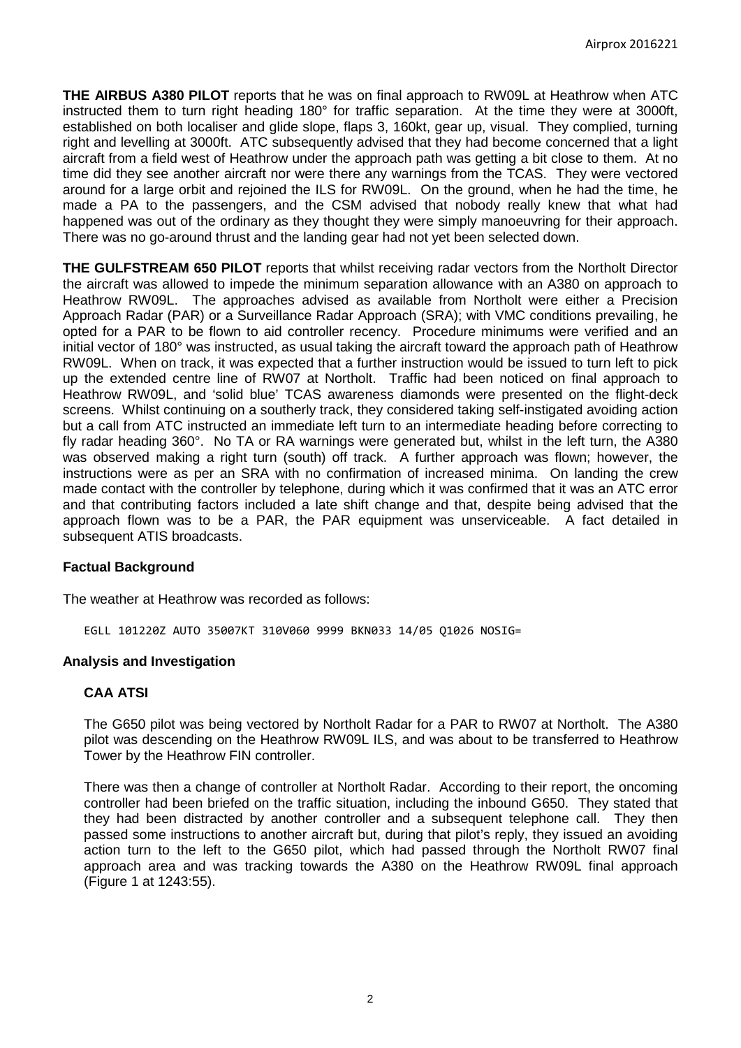**THE AIRBUS A380 PILOT** reports that he was on final approach to RW09L at Heathrow when ATC instructed them to turn right heading 180° for traffic separation. At the time they were at 3000ft, established on both localiser and glide slope, flaps 3, 160kt, gear up, visual. They complied, turning right and levelling at 3000ft. ATC subsequently advised that they had become concerned that a light aircraft from a field west of Heathrow under the approach path was getting a bit close to them. At no time did they see another aircraft nor were there any warnings from the TCAS. They were vectored around for a large orbit and rejoined the ILS for RW09L. On the ground, when he had the time, he made a PA to the passengers, and the CSM advised that nobody really knew that what had happened was out of the ordinary as they thought they were simply manoeuvring for their approach. There was no go-around thrust and the landing gear had not yet been selected down.

**THE GULFSTREAM 650 PILOT** reports that whilst receiving radar vectors from the Northolt Director the aircraft was allowed to impede the minimum separation allowance with an A380 on approach to Heathrow RW09L. The approaches advised as available from Northolt were either a Precision Approach Radar (PAR) or a Surveillance Radar Approach (SRA); with VMC conditions prevailing, he opted for a PAR to be flown to aid controller recency. Procedure minimums were verified and an initial vector of 180° was instructed, as usual taking the aircraft toward the approach path of Heathrow RW09L. When on track, it was expected that a further instruction would be issued to turn left to pick up the extended centre line of RW07 at Northolt. Traffic had been noticed on final approach to Heathrow RW09L, and 'solid blue' TCAS awareness diamonds were presented on the flight-deck screens. Whilst continuing on a southerly track, they considered taking self-instigated avoiding action but a call from ATC instructed an immediate left turn to an intermediate heading before correcting to fly radar heading 360°. No TA or RA warnings were generated but, whilst in the left turn, the A380 was observed making a right turn (south) off track. A further approach was flown; however, the instructions were as per an SRA with no confirmation of increased minima. On landing the crew made contact with the controller by telephone, during which it was confirmed that it was an ATC error and that contributing factors included a late shift change and that, despite being advised that the approach flown was to be a PAR, the PAR equipment was unserviceable. A fact detailed in subsequent ATIS broadcasts.

### **Factual Background**

The weather at Heathrow was recorded as follows:

EGLL 101220Z AUTO 35007KT 310V060 9999 BKN033 14/05 Q1026 NOSIG=

### **Analysis and Investigation**

### **CAA ATSI**

The G650 pilot was being vectored by Northolt Radar for a PAR to RW07 at Northolt. The A380 pilot was descending on the Heathrow RW09L ILS, and was about to be transferred to Heathrow Tower by the Heathrow FIN controller.

There was then a change of controller at Northolt Radar. According to their report, the oncoming controller had been briefed on the traffic situation, including the inbound G650. They stated that they had been distracted by another controller and a subsequent telephone call. They then passed some instructions to another aircraft but, during that pilot's reply, they issued an avoiding action turn to the left to the G650 pilot, which had passed through the Northolt RW07 final approach area and was tracking towards the A380 on the Heathrow RW09L final approach (Figure 1 at 1243:55).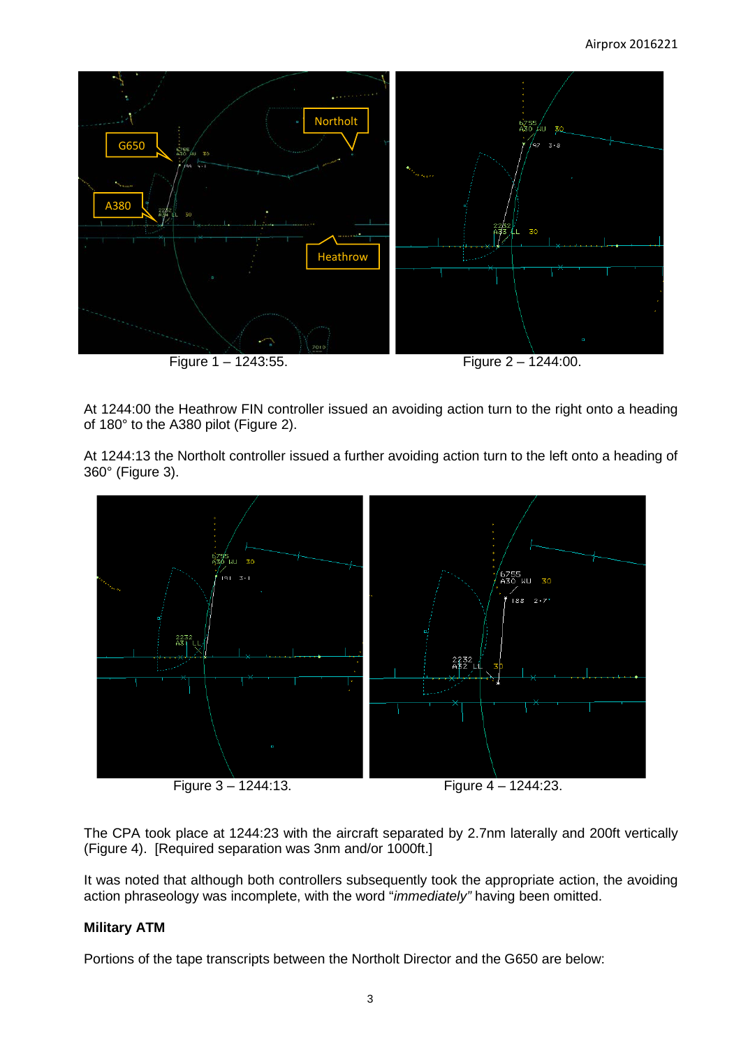

At 1244:00 the Heathrow FIN controller issued an avoiding action turn to the right onto a heading of 180° to the A380 pilot (Figure 2).

At 1244:13 the Northolt controller issued a further avoiding action turn to the left onto a heading of 360° (Figure 3).



The CPA took place at 1244:23 with the aircraft separated by 2.7nm laterally and 200ft vertically (Figure 4). [Required separation was 3nm and/or 1000ft.]

It was noted that although both controllers subsequently took the appropriate action, the avoiding action phraseology was incomplete, with the word "*immediately"* having been omitted.

# **Military ATM**

Portions of the tape transcripts between the Northolt Director and the G650 are below: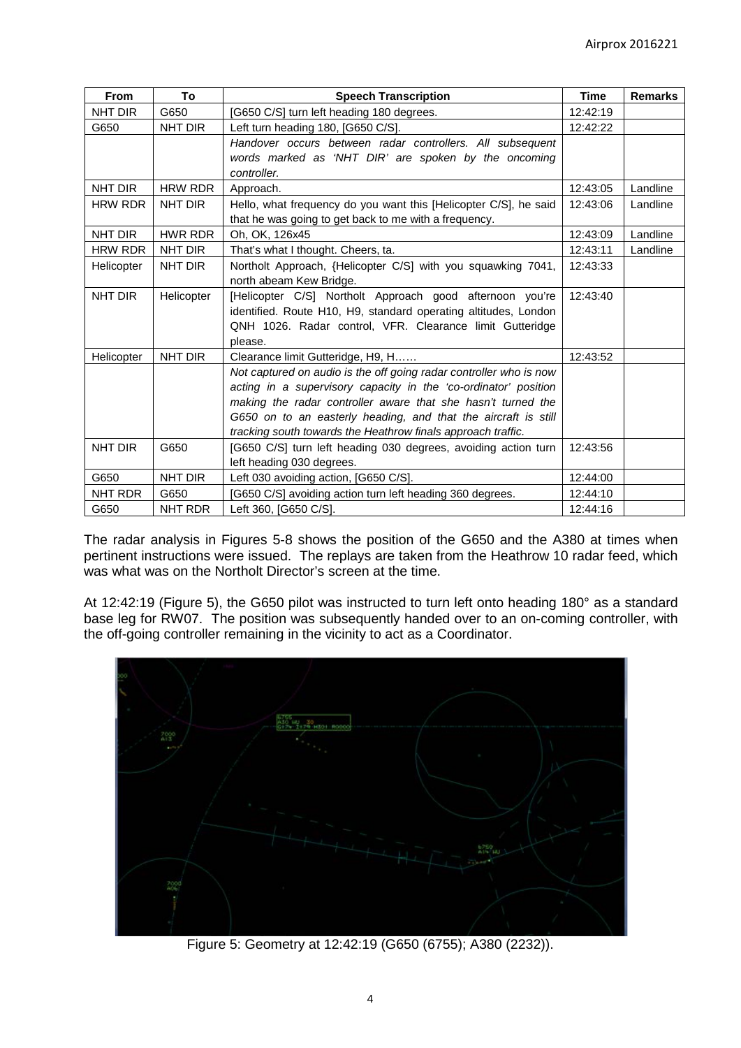| From           | To             | <b>Speech Transcription</b>                                                                                                                                                                                                                                                                                                             | <b>Time</b> | <b>Remarks</b> |
|----------------|----------------|-----------------------------------------------------------------------------------------------------------------------------------------------------------------------------------------------------------------------------------------------------------------------------------------------------------------------------------------|-------------|----------------|
| NHT DIR        | G650           | [G650 C/S] turn left heading 180 degrees.                                                                                                                                                                                                                                                                                               | 12:42:19    |                |
| G650           | NHT DIR        | Left turn heading 180, [G650 C/S].                                                                                                                                                                                                                                                                                                      | 12:42:22    |                |
|                |                | Handover occurs between radar controllers. All subsequent                                                                                                                                                                                                                                                                               |             |                |
|                |                | words marked as 'NHT DIR' are spoken by the oncoming<br>controller.                                                                                                                                                                                                                                                                     |             |                |
| NHT DIR        | <b>HRW RDR</b> | Approach.                                                                                                                                                                                                                                                                                                                               | 12:43:05    | Landline       |
| <b>HRW RDR</b> | NHT DIR        | Hello, what frequency do you want this [Helicopter C/S], he said                                                                                                                                                                                                                                                                        | 12:43:06    | Landline       |
|                |                | that he was going to get back to me with a frequency.                                                                                                                                                                                                                                                                                   |             |                |
| NHT DIR        | <b>HWR RDR</b> | Oh, OK, 126x45                                                                                                                                                                                                                                                                                                                          | 12:43:09    | Landline       |
| <b>HRW RDR</b> | NHT DIR        | That's what I thought. Cheers, ta.                                                                                                                                                                                                                                                                                                      | 12:43:11    | Landline       |
| Helicopter     | NHT DIR        | Northolt Approach, {Helicopter C/S] with you squawking 7041,<br>north abeam Kew Bridge.                                                                                                                                                                                                                                                 | 12:43:33    |                |
| NHT DIR        | Helicopter     | [Helicopter C/S] Northolt Approach good afternoon you're<br>identified. Route H10, H9, standard operating altitudes, London<br>QNH 1026. Radar control, VFR. Clearance limit Gutteridge<br>please.                                                                                                                                      | 12:43:40    |                |
| Helicopter     | NHT DIR        | Clearance limit Gutteridge, H9, H                                                                                                                                                                                                                                                                                                       | 12:43:52    |                |
|                |                | Not captured on audio is the off going radar controller who is now<br>acting in a supervisory capacity in the 'co-ordinator' position<br>making the radar controller aware that she hasn't turned the<br>G650 on to an easterly heading, and that the aircraft is still<br>tracking south towards the Heathrow finals approach traffic. |             |                |
| NHT DIR        | G650           | [G650 C/S] turn left heading 030 degrees, avoiding action turn<br>left heading 030 degrees.                                                                                                                                                                                                                                             | 12:43:56    |                |
| G650           | NHT DIR        | Left 030 avoiding action, [G650 C/S].                                                                                                                                                                                                                                                                                                   | 12:44:00    |                |
| NHT RDR        | G650           | [G650 C/S] avoiding action turn left heading 360 degrees.                                                                                                                                                                                                                                                                               | 12:44:10    |                |
| G650           | NHT RDR        | Left 360, [G650 C/S].                                                                                                                                                                                                                                                                                                                   | 12:44:16    |                |

The radar analysis in Figures 5-8 shows the position of the G650 and the A380 at times when pertinent instructions were issued. The replays are taken from the Heathrow 10 radar feed, which was what was on the Northolt Director's screen at the time.

At 12:42:19 (Figure 5), the G650 pilot was instructed to turn left onto heading 180° as a standard base leg for RW07. The position was subsequently handed over to an on-coming controller, with the off-going controller remaining in the vicinity to act as a Coordinator.



Figure 5: Geometry at 12:42:19 (G650 (6755); A380 (2232)).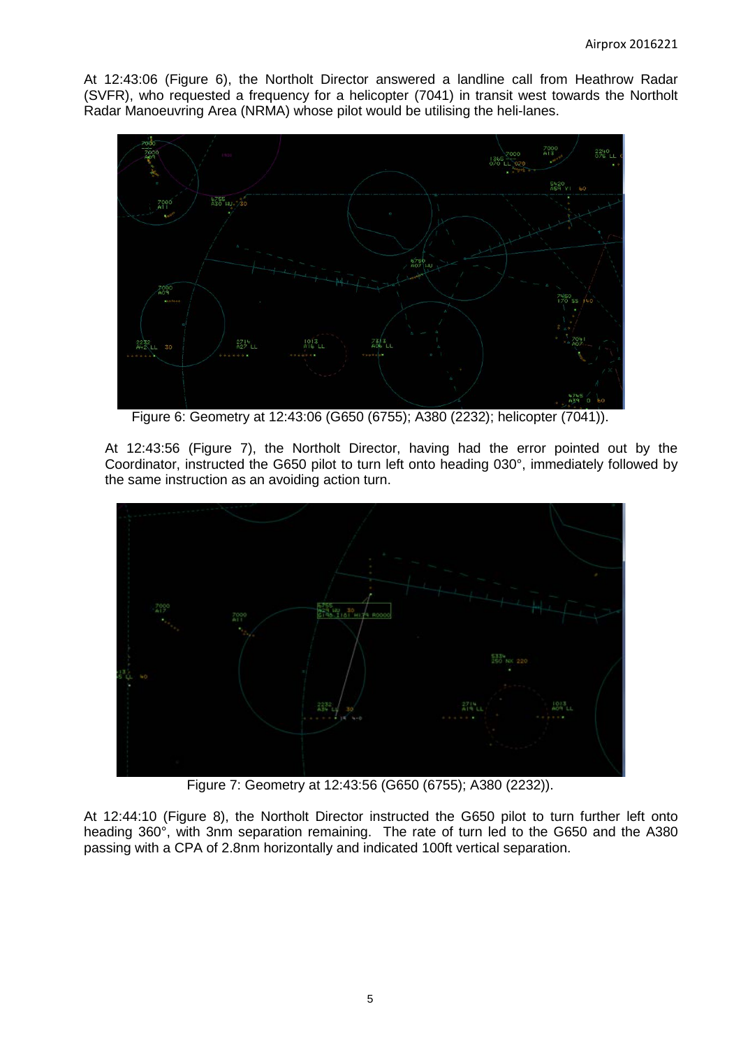At 12:43:06 (Figure 6), the Northolt Director answered a landline call from Heathrow Radar (SVFR), who requested a frequency for a helicopter (7041) in transit west towards the Northolt Radar Manoeuvring Area (NRMA) whose pilot would be utilising the heli-lanes.



Figure 6: Geometry at 12:43:06 (G650 (6755); A380 (2232); helicopter (7041)).

At 12:43:56 (Figure 7), the Northolt Director, having had the error pointed out by the Coordinator, instructed the G650 pilot to turn left onto heading 030°, immediately followed by the same instruction as an avoiding action turn.



Figure 7: Geometry at 12:43:56 (G650 (6755); A380 (2232)).

At 12:44:10 (Figure 8), the Northolt Director instructed the G650 pilot to turn further left onto heading 360°, with 3nm separation remaining. The rate of turn led to the G650 and the A380 passing with a CPA of 2.8nm horizontally and indicated 100ft vertical separation.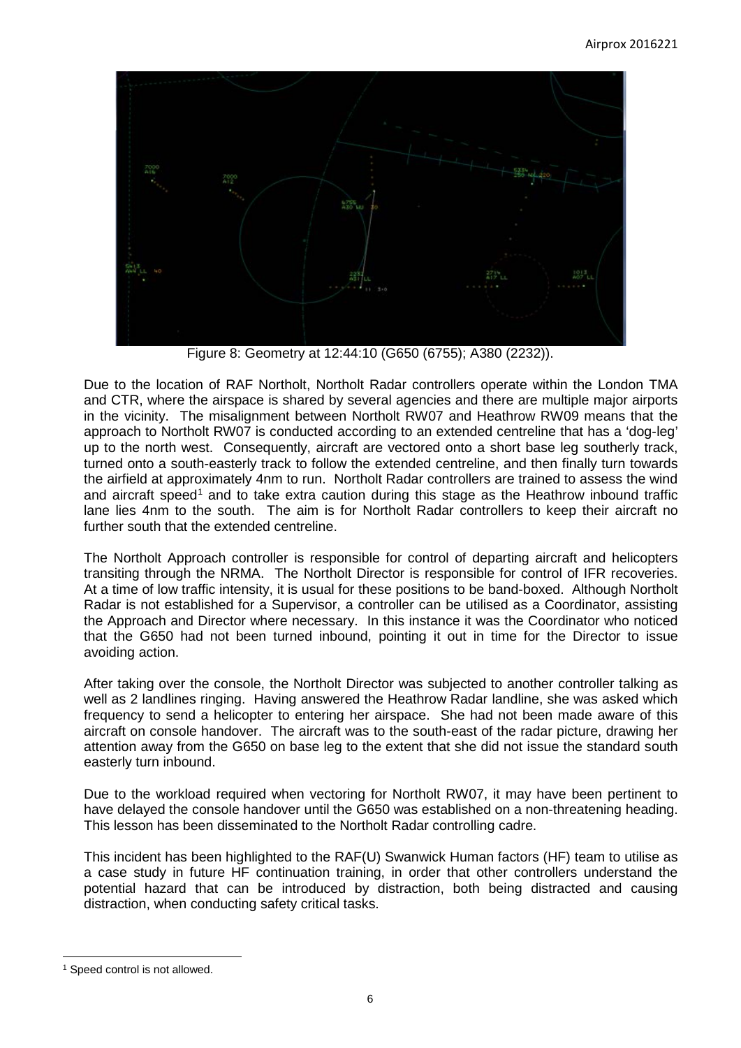

Figure 8: Geometry at 12:44:10 (G650 (6755); A380 (2232)).

Due to the location of RAF Northolt, Northolt Radar controllers operate within the London TMA and CTR, where the airspace is shared by several agencies and there are multiple major airports in the vicinity. The misalignment between Northolt RW07 and Heathrow RW09 means that the approach to Northolt RW07 is conducted according to an extended centreline that has a 'dog-leg' up to the north west. Consequently, aircraft are vectored onto a short base leg southerly track, turned onto a south-easterly track to follow the extended centreline, and then finally turn towards the airfield at approximately 4nm to run. Northolt Radar controllers are trained to assess the wind and aircraft speed<sup>[1](#page-5-0)</sup> and to take extra caution during this stage as the Heathrow inbound traffic lane lies 4nm to the south. The aim is for Northolt Radar controllers to keep their aircraft no further south that the extended centreline.

The Northolt Approach controller is responsible for control of departing aircraft and helicopters transiting through the NRMA. The Northolt Director is responsible for control of IFR recoveries. At a time of low traffic intensity, it is usual for these positions to be band-boxed. Although Northolt Radar is not established for a Supervisor, a controller can be utilised as a Coordinator, assisting the Approach and Director where necessary. In this instance it was the Coordinator who noticed that the G650 had not been turned inbound, pointing it out in time for the Director to issue avoiding action.

After taking over the console, the Northolt Director was subjected to another controller talking as well as 2 landlines ringing. Having answered the Heathrow Radar landline, she was asked which frequency to send a helicopter to entering her airspace. She had not been made aware of this aircraft on console handover. The aircraft was to the south-east of the radar picture, drawing her attention away from the G650 on base leg to the extent that she did not issue the standard south easterly turn inbound.

Due to the workload required when vectoring for Northolt RW07, it may have been pertinent to have delayed the console handover until the G650 was established on a non-threatening heading. This lesson has been disseminated to the Northolt Radar controlling cadre.

This incident has been highlighted to the RAF(U) Swanwick Human factors (HF) team to utilise as a case study in future HF continuation training, in order that other controllers understand the potential hazard that can be introduced by distraction, both being distracted and causing distraction, when conducting safety critical tasks.

 $\overline{\phantom{a}}$ 

<span id="page-5-0"></span><sup>&</sup>lt;sup>1</sup> Speed control is not allowed.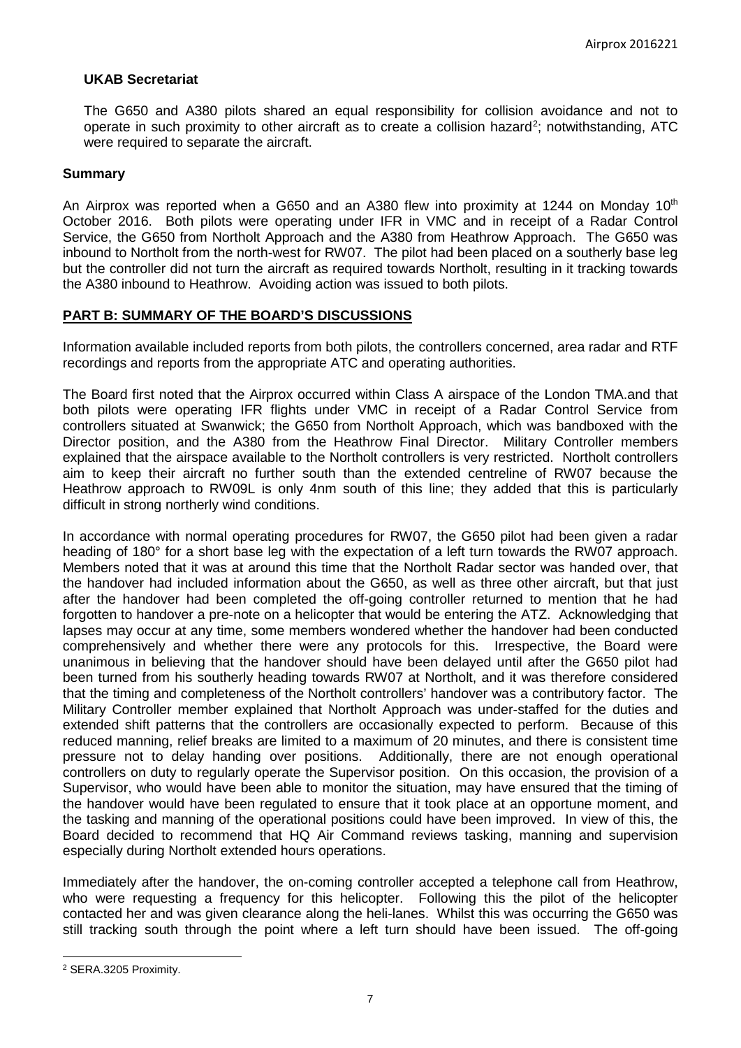### **UKAB Secretariat**

The G650 and A380 pilots shared an equal responsibility for collision avoidance and not to operate in such proximity to other aircraft as to create a collision hazard<sup>[2](#page-6-0)</sup>; notwithstanding, ATC were required to separate the aircraft.

### **Summary**

An Airprox was reported when a G650 and an A380 flew into proximity at 1244 on Monday 10<sup>th</sup> October 2016. Both pilots were operating under IFR in VMC and in receipt of a Radar Control Service, the G650 from Northolt Approach and the A380 from Heathrow Approach. The G650 was inbound to Northolt from the north-west for RW07. The pilot had been placed on a southerly base leg but the controller did not turn the aircraft as required towards Northolt, resulting in it tracking towards the A380 inbound to Heathrow. Avoiding action was issued to both pilots.

### **PART B: SUMMARY OF THE BOARD'S DISCUSSIONS**

Information available included reports from both pilots, the controllers concerned, area radar and RTF recordings and reports from the appropriate ATC and operating authorities.

The Board first noted that the Airprox occurred within Class A airspace of the London TMA.and that both pilots were operating IFR flights under VMC in receipt of a Radar Control Service from controllers situated at Swanwick; the G650 from Northolt Approach, which was bandboxed with the Director position, and the A380 from the Heathrow Final Director. Military Controller members explained that the airspace available to the Northolt controllers is very restricted. Northolt controllers aim to keep their aircraft no further south than the extended centreline of RW07 because the Heathrow approach to RW09L is only 4nm south of this line; they added that this is particularly difficult in strong northerly wind conditions.

In accordance with normal operating procedures for RW07, the G650 pilot had been given a radar heading of 180° for a short base leg with the expectation of a left turn towards the RW07 approach. Members noted that it was at around this time that the Northolt Radar sector was handed over, that the handover had included information about the G650, as well as three other aircraft, but that just after the handover had been completed the off-going controller returned to mention that he had forgotten to handover a pre-note on a helicopter that would be entering the ATZ. Acknowledging that lapses may occur at any time, some members wondered whether the handover had been conducted comprehensively and whether there were any protocols for this. Irrespective, the Board were unanimous in believing that the handover should have been delayed until after the G650 pilot had been turned from his southerly heading towards RW07 at Northolt, and it was therefore considered that the timing and completeness of the Northolt controllers' handover was a contributory factor. The Military Controller member explained that Northolt Approach was under-staffed for the duties and extended shift patterns that the controllers are occasionally expected to perform. Because of this reduced manning, relief breaks are limited to a maximum of 20 minutes, and there is consistent time pressure not to delay handing over positions. Additionally, there are not enough operational controllers on duty to regularly operate the Supervisor position. On this occasion, the provision of a Supervisor, who would have been able to monitor the situation, may have ensured that the timing of the handover would have been regulated to ensure that it took place at an opportune moment, and the tasking and manning of the operational positions could have been improved. In view of this, the Board decided to recommend that HQ Air Command reviews tasking, manning and supervision especially during Northolt extended hours operations.

Immediately after the handover, the on-coming controller accepted a telephone call from Heathrow, who were requesting a frequency for this helicopter. Following this the pilot of the helicopter contacted her and was given clearance along the heli-lanes. Whilst this was occurring the G650 was still tracking south through the point where a left turn should have been issued. The off-going

 $\overline{\phantom{a}}$ 

<span id="page-6-0"></span><sup>2</sup> SERA.3205 Proximity.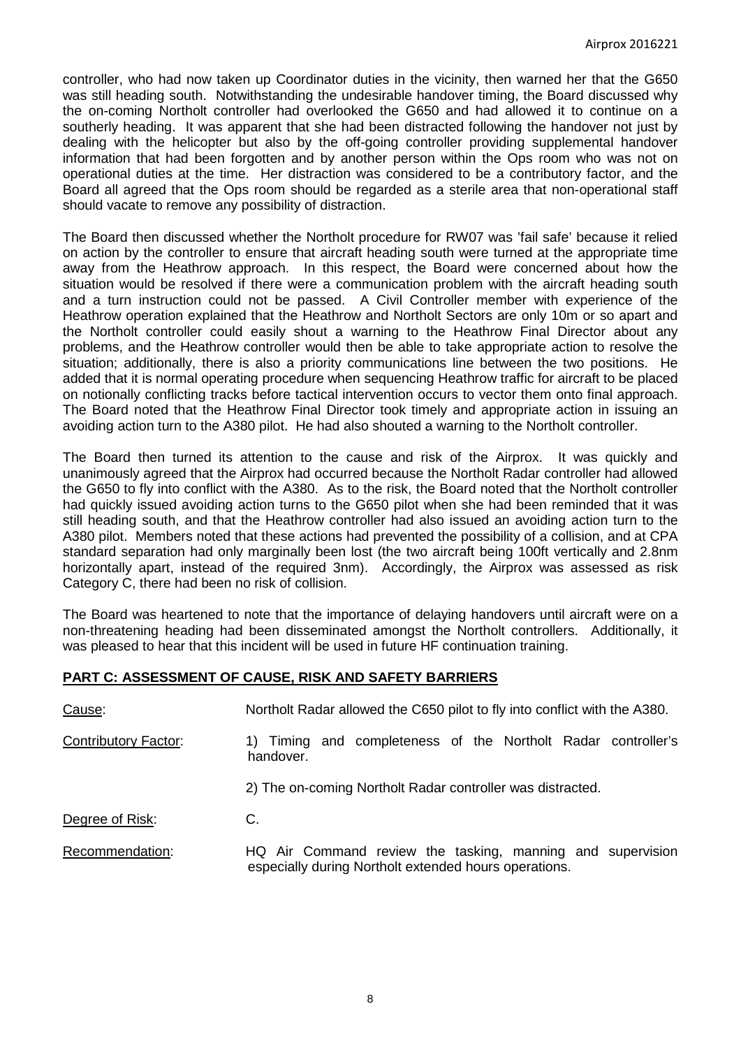controller, who had now taken up Coordinator duties in the vicinity, then warned her that the G650 was still heading south. Notwithstanding the undesirable handover timing, the Board discussed why the on-coming Northolt controller had overlooked the G650 and had allowed it to continue on a southerly heading. It was apparent that she had been distracted following the handover not just by dealing with the helicopter but also by the off-going controller providing supplemental handover information that had been forgotten and by another person within the Ops room who was not on operational duties at the time. Her distraction was considered to be a contributory factor, and the Board all agreed that the Ops room should be regarded as a sterile area that non-operational staff should vacate to remove any possibility of distraction.

The Board then discussed whether the Northolt procedure for RW07 was 'fail safe' because it relied on action by the controller to ensure that aircraft heading south were turned at the appropriate time away from the Heathrow approach. In this respect, the Board were concerned about how the situation would be resolved if there were a communication problem with the aircraft heading south and a turn instruction could not be passed. A Civil Controller member with experience of the Heathrow operation explained that the Heathrow and Northolt Sectors are only 10m or so apart and the Northolt controller could easily shout a warning to the Heathrow Final Director about any problems, and the Heathrow controller would then be able to take appropriate action to resolve the situation; additionally, there is also a priority communications line between the two positions. He added that it is normal operating procedure when sequencing Heathrow traffic for aircraft to be placed on notionally conflicting tracks before tactical intervention occurs to vector them onto final approach. The Board noted that the Heathrow Final Director took timely and appropriate action in issuing an avoiding action turn to the A380 pilot. He had also shouted a warning to the Northolt controller.

The Board then turned its attention to the cause and risk of the Airprox. It was quickly and unanimously agreed that the Airprox had occurred because the Northolt Radar controller had allowed the G650 to fly into conflict with the A380. As to the risk, the Board noted that the Northolt controller had quickly issued avoiding action turns to the G650 pilot when she had been reminded that it was still heading south, and that the Heathrow controller had also issued an avoiding action turn to the A380 pilot. Members noted that these actions had prevented the possibility of a collision, and at CPA standard separation had only marginally been lost (the two aircraft being 100ft vertically and 2.8nm horizontally apart, instead of the required 3nm). Accordingly, the Airprox was assessed as risk Category C, there had been no risk of collision.

The Board was heartened to note that the importance of delaying handovers until aircraft were on a non-threatening heading had been disseminated amongst the Northolt controllers. Additionally, it was pleased to hear that this incident will be used in future HF continuation training.

| Cause:                      | Northolt Radar allowed the C650 pilot to fly into conflict with the A380.                                           |
|-----------------------------|---------------------------------------------------------------------------------------------------------------------|
| <b>Contributory Factor:</b> | 1) Timing and completeness of the Northolt Radar controller's<br>handover.                                          |
|                             | 2) The on-coming Northolt Radar controller was distracted.                                                          |
| Degree of Risk:             | C.                                                                                                                  |
| Recommendation:             | HQ Air Command review the tasking, manning and supervision<br>especially during Northolt extended hours operations. |

# **PART C: ASSESSMENT OF CAUSE, RISK AND SAFETY BARRIERS**